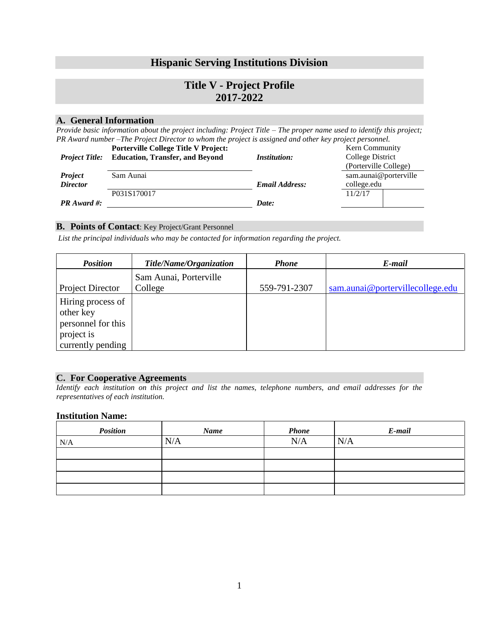# **Hispanic Serving Institutions Division**

# **Title V - Project Profile 2017-2022**

#### **A. General Information**

*Provide basic information about the project including: Project Title – The proper name used to identify this project; PR Award number –The Project Director to whom the project is assigned and other key project personnel.* 

|                       | <b>Porterville College Title V Project:</b> |                       | Kern Community        |  |
|-----------------------|---------------------------------------------|-----------------------|-----------------------|--|
| <b>Project Title:</b> | <b>Education, Transfer, and Beyond</b>      | <i>Institution:</i>   | College District      |  |
|                       |                                             |                       | (Porterville College) |  |
| <b>Project</b>        | Sam Aunai                                   |                       | sam.aunai@porterville |  |
| <b>Director</b>       |                                             | <b>Email Address:</b> | college.edu           |  |
|                       | P031S170017                                 |                       | 11/2/17               |  |
| $PR$ Award #:         |                                             | Date:                 |                       |  |

#### **B. Points of Contact**: Key Project/Grant Personnel

*List the principal individuals who may be contacted for information regarding the project.* 

| <b>Position</b>                                                                         | Title/Name/Organization           | <b>Phone</b> | E-mail                           |
|-----------------------------------------------------------------------------------------|-----------------------------------|--------------|----------------------------------|
| <b>Project Director</b>                                                                 | Sam Aunai, Porterville<br>College | 559-791-2307 | sam.aunai@portervillecollege.edu |
| Hiring process of<br>other key<br>personnel for this<br>project is<br>currently pending |                                   |              |                                  |

#### **C. For Cooperative Agreements**

*Identify each institution on this project and list the names, telephone numbers, and email addresses for the representatives of each institution.* 

#### **Institution Name:**

| <b>Position</b> | <b>Name</b> | <b>Phone</b> | E-mail |
|-----------------|-------------|--------------|--------|
| N/A             | N/A         | N/A          | N/A    |
|                 |             |              |        |
|                 |             |              |        |
|                 |             |              |        |
|                 |             |              |        |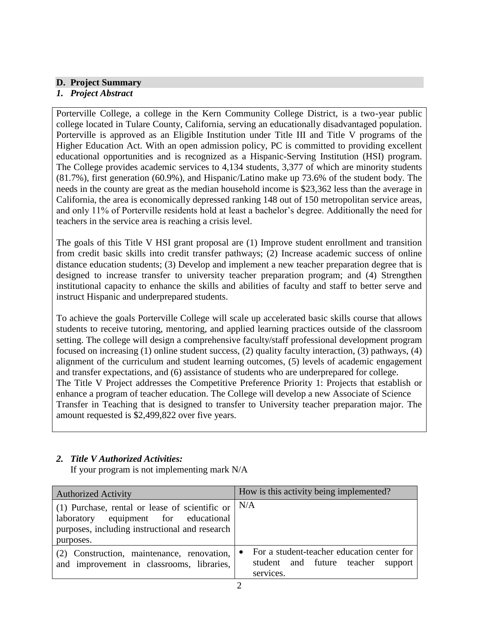# **D. Project Summary**

## *1. Project Abstract*

Porterville College, a college in the Kern Community College District, is a two-year public college located in Tulare County, California, serving an educationally disadvantaged population. Porterville is approved as an Eligible Institution under Title III and Title V programs of the Higher Education Act. With an open admission policy, PC is committed to providing excellent educational opportunities and is recognized as a Hispanic-Serving Institution (HSI) program. The College provides academic services to 4,134 students, 3,377 of which are minority students (81.7%), first generation (60.9%), and Hispanic/Latino make up 73.6% of the student body. The needs in the county are great as the median household income is \$23,362 less than the average in California, the area is economically depressed ranking 148 out of 150 metropolitan service areas, and only 11% of Porterville residents hold at least a bachelor's degree. Additionally the need for teachers in the service area is reaching a crisis level.

The goals of this Title V HSI grant proposal are (1) Improve student enrollment and transition from credit basic skills into credit transfer pathways; (2) Increase academic success of online distance education students; (3) Develop and implement a new teacher preparation degree that is designed to increase transfer to university teacher preparation program; and (4) Strengthen institutional capacity to enhance the skills and abilities of faculty and staff to better serve and instruct Hispanic and underprepared students.

To achieve the goals Porterville College will scale up accelerated basic skills course that allows students to receive tutoring, mentoring, and applied learning practices outside of the classroom setting. The college will design a comprehensive faculty/staff professional development program focused on increasing (1) online student success, (2) quality faculty interaction, (3) pathways, (4) alignment of the curriculum and student learning outcomes, (5) levels of academic engagement and transfer expectations, and (6) assistance of students who are underprepared for college. The Title V Project addresses the Competitive Preference Priority 1: Projects that establish or enhance a program of teacher education. The College will develop a new Associate of Science Transfer in Teaching that is designed to transfer to University teacher preparation major. The amount requested is \$2,499,822 over five years.

# *2. Title V Authorized Activities:*

If your program is not implementing mark N/A

| <b>Authorized Activity</b>                                                                                                                                           | How is this activity being implemented?                                                                    |  |
|----------------------------------------------------------------------------------------------------------------------------------------------------------------------|------------------------------------------------------------------------------------------------------------|--|
| (1) Purchase, rental or lease of scientific or $\vert$ N/A<br>equipment for educational<br>laboratory<br>purposes, including instructional and research<br>purposes. |                                                                                                            |  |
| (2) Construction, maintenance, renovation,<br>and improvement in classrooms, libraries,                                                                              | For a student-teacher education center for<br>$\bullet$<br>student and future teacher support<br>services. |  |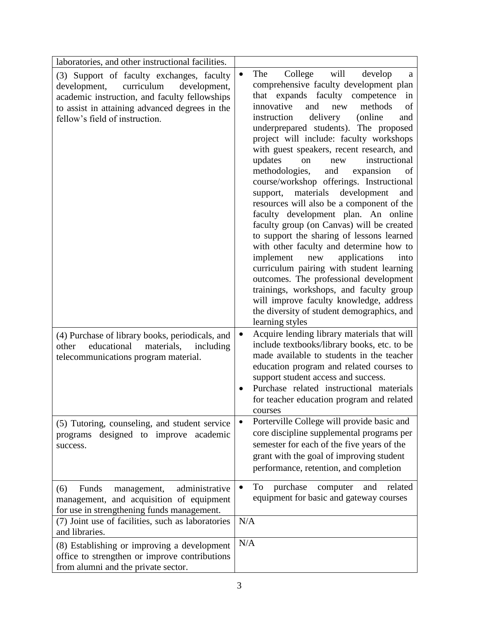| laboratories, and other instructional facilities.                                                                                                                                                                            |                                                                                                                                                                                                                                                                                                                                                                                                                                                                                                                                                                                                                                                                                                                                                                                                                                                                                                                                                                                                                                                                      |
|------------------------------------------------------------------------------------------------------------------------------------------------------------------------------------------------------------------------------|----------------------------------------------------------------------------------------------------------------------------------------------------------------------------------------------------------------------------------------------------------------------------------------------------------------------------------------------------------------------------------------------------------------------------------------------------------------------------------------------------------------------------------------------------------------------------------------------------------------------------------------------------------------------------------------------------------------------------------------------------------------------------------------------------------------------------------------------------------------------------------------------------------------------------------------------------------------------------------------------------------------------------------------------------------------------|
| (3) Support of faculty exchanges, faculty<br>curriculum<br>development,<br>development,<br>academic instruction, and faculty fellowships<br>to assist in attaining advanced degrees in the<br>fellow's field of instruction. | The<br>College<br>will<br>develop<br>$\bullet$<br>a<br>comprehensive faculty development plan<br>expands faculty competence<br>that<br>in<br>methods<br>innovative<br>and<br>of<br>new<br>instruction<br>delivery<br>(online)<br>and<br>underprepared students). The proposed<br>project will include: faculty workshops<br>with guest speakers, recent research, and<br>updates<br>instructional<br>on<br>new<br>methodologies,<br>and<br>expansion<br>of<br>course/workshop offerings. Instructional<br>support, materials<br>development<br>and<br>resources will also be a component of the<br>faculty development plan. An online<br>faculty group (on Canvas) will be created<br>to support the sharing of lessons learned<br>with other faculty and determine how to<br>implement<br>new<br>applications<br>into<br>curriculum pairing with student learning<br>outcomes. The professional development<br>trainings, workshops, and faculty group<br>will improve faculty knowledge, address<br>the diversity of student demographics, and<br>learning styles |
| (4) Purchase of library books, periodicals, and<br>educational<br>materials,<br>including<br>other<br>telecommunications program material.                                                                                   | Acquire lending library materials that will<br>$\bullet$<br>include textbooks/library books, etc. to be<br>made available to students in the teacher<br>education program and related courses to<br>support student access and success.<br>Purchase related instructional materials<br>for teacher education program and related<br>courses                                                                                                                                                                                                                                                                                                                                                                                                                                                                                                                                                                                                                                                                                                                          |
| (5) Tutoring, counseling, and student service<br>programs designed to improve academic<br>success.                                                                                                                           | Porterville College will provide basic and<br>$\bullet$<br>core discipline supplemental programs per<br>semester for each of the five years of the<br>grant with the goal of improving student<br>performance, retention, and completion                                                                                                                                                                                                                                                                                                                                                                                                                                                                                                                                                                                                                                                                                                                                                                                                                             |
| Funds<br>administrative<br>(6)<br>management,<br>management, and acquisition of equipment<br>for use in strengthening funds management.<br>(7) Joint use of facilities, such as laboratories                                 | purchase<br>related<br>computer<br>and<br>To<br>٠<br>equipment for basic and gateway courses<br>N/A                                                                                                                                                                                                                                                                                                                                                                                                                                                                                                                                                                                                                                                                                                                                                                                                                                                                                                                                                                  |
| and libraries.<br>(8) Establishing or improving a development<br>office to strengthen or improve contributions<br>from alumni and the private sector.                                                                        | N/A                                                                                                                                                                                                                                                                                                                                                                                                                                                                                                                                                                                                                                                                                                                                                                                                                                                                                                                                                                                                                                                                  |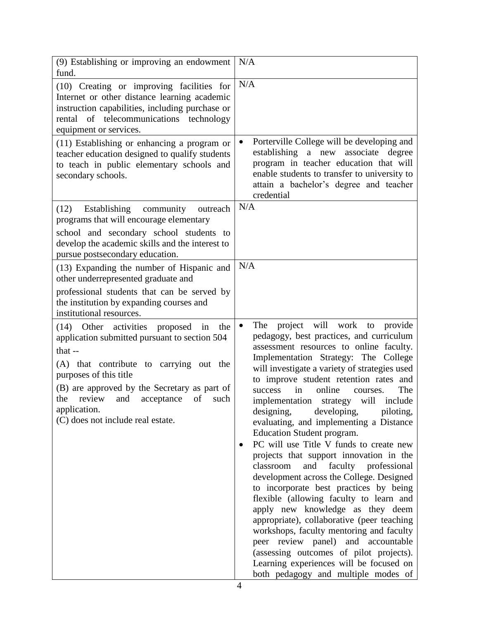| (9) Establishing or improving an endowment<br>fund.                                                                                                                                                                                                                                                                                 | N/A                                                                                                                                                                                                                                                                                                                                                                                                                                                                                                                                                                                                                                                                                                                                                                                                                                                                                                                                                                                                                                                     |
|-------------------------------------------------------------------------------------------------------------------------------------------------------------------------------------------------------------------------------------------------------------------------------------------------------------------------------------|---------------------------------------------------------------------------------------------------------------------------------------------------------------------------------------------------------------------------------------------------------------------------------------------------------------------------------------------------------------------------------------------------------------------------------------------------------------------------------------------------------------------------------------------------------------------------------------------------------------------------------------------------------------------------------------------------------------------------------------------------------------------------------------------------------------------------------------------------------------------------------------------------------------------------------------------------------------------------------------------------------------------------------------------------------|
| (10) Creating or improving facilities for<br>Internet or other distance learning academic<br>instruction capabilities, including purchase or<br>rental of telecommunications technology<br>equipment or services.                                                                                                                   | N/A                                                                                                                                                                                                                                                                                                                                                                                                                                                                                                                                                                                                                                                                                                                                                                                                                                                                                                                                                                                                                                                     |
| $(11)$ Establishing or enhancing a program or<br>teacher education designed to qualify students<br>to teach in public elementary schools and<br>secondary schools.                                                                                                                                                                  | Porterville College will be developing and<br>$\bullet$<br>establishing a new associate degree<br>program in teacher education that will<br>enable students to transfer to university to<br>attain a bachelor's degree and teacher<br>credential                                                                                                                                                                                                                                                                                                                                                                                                                                                                                                                                                                                                                                                                                                                                                                                                        |
| (12)<br>Establishing<br>community<br>outreach<br>programs that will encourage elementary<br>school and secondary school students to<br>develop the academic skills and the interest to<br>pursue postsecondary education.                                                                                                           | N/A                                                                                                                                                                                                                                                                                                                                                                                                                                                                                                                                                                                                                                                                                                                                                                                                                                                                                                                                                                                                                                                     |
| (13) Expanding the number of Hispanic and<br>other underrepresented graduate and<br>professional students that can be served by<br>the institution by expanding courses and<br>institutional resources.                                                                                                                             | N/A                                                                                                                                                                                                                                                                                                                                                                                                                                                                                                                                                                                                                                                                                                                                                                                                                                                                                                                                                                                                                                                     |
| (14) Other activities proposed in<br>the<br>application submitted pursuant to section 504<br>that $-$<br>(A) that contribute to carrying out the<br>purposes of this title<br>(B) are approved by the Secretary as part of<br>review<br>of<br>the<br>and<br>acceptance<br>such<br>application.<br>(C) does not include real estate. | project will work to provide<br>The<br>$\bullet$<br>pedagogy, best practices, and curriculum<br>assessment resources to online faculty.<br>Implementation Strategy: The College<br>will investigate a variety of strategies used<br>to improve student retention rates and<br>online<br>The<br>success<br>in<br>courses.<br>implementation strategy will<br>include<br>developing,<br>designing,<br>piloting,<br>evaluating, and implementing a Distance<br>Education Student program.<br>PC will use Title V funds to create new<br>projects that support innovation in the<br>classroom<br>and faculty professional<br>development across the College. Designed<br>to incorporate best practices by being<br>flexible (allowing faculty to learn and<br>apply new knowledge as they deem<br>appropriate), collaborative (peer teaching<br>workshops, faculty mentoring and faculty<br>peer review panel) and accountable<br>(assessing outcomes of pilot projects).<br>Learning experiences will be focused on<br>both pedagogy and multiple modes of |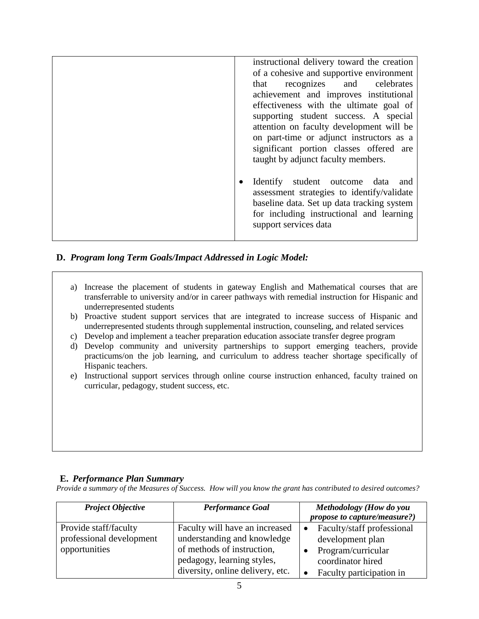| instructional delivery toward the creation<br>of a cohesive and supportive environment<br>that recognizes and celebrates<br>achievement and improves institutional<br>effectiveness with the ultimate goal of<br>supporting student success. A special<br>attention on faculty development will be<br>on part-time or adjunct instructors as a<br>significant portion classes offered are |  |
|-------------------------------------------------------------------------------------------------------------------------------------------------------------------------------------------------------------------------------------------------------------------------------------------------------------------------------------------------------------------------------------------|--|
| taught by adjunct faculty members.<br>Identify student outcome data<br>and<br>assessment strategies to identify/validate<br>baseline data. Set up data tracking system<br>for including instructional and learning<br>support services data                                                                                                                                               |  |

## **D.** *Program long Term Goals/Impact Addressed in Logic Model:*

- a) Increase the placement of students in gateway English and Mathematical courses that are transferrable to university and/or in career pathways with remedial instruction for Hispanic and underrepresented students
- b) Proactive student support services that are integrated to increase success of Hispanic and underrepresented students through supplemental instruction, counseling, and related services
- c) Develop and implement a teacher preparation education associate transfer degree program
- d) Develop community and university partnerships to support emerging teachers, provide practicums/on the job learning, and curriculum to address teacher shortage specifically of Hispanic teachers.
- e) Instructional support services through online course instruction enhanced, faculty trained on curricular, pedagogy, student success, etc.

#### **E.** *Performance Plan Summary*

*Provide a summary of the Measures of Success. How will you know the grant has contributed to desired outcomes?*

| <b>Project Objective</b>                          | <b>Performance Goal</b>                                                                      | Methodology (How do you<br>propose to capture/measure?)             |
|---------------------------------------------------|----------------------------------------------------------------------------------------------|---------------------------------------------------------------------|
| Provide staff/faculty<br>professional development | Faculty will have an increased<br>understanding and knowledge                                | Faculty/staff professional<br>development plan                      |
| opportunities                                     | of methods of instruction,<br>pedagogy, learning styles,<br>diversity, online delivery, etc. | Program/curricular<br>coordinator hired<br>Faculty participation in |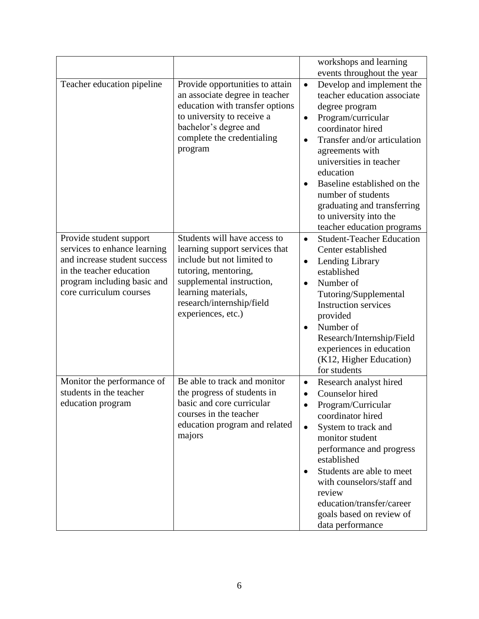|                                                                                                                                                                               |                                                                                                                                                                                                                             | workshops and learning                                                                                                                                                                                                                                                                                                                                                                                                                         |
|-------------------------------------------------------------------------------------------------------------------------------------------------------------------------------|-----------------------------------------------------------------------------------------------------------------------------------------------------------------------------------------------------------------------------|------------------------------------------------------------------------------------------------------------------------------------------------------------------------------------------------------------------------------------------------------------------------------------------------------------------------------------------------------------------------------------------------------------------------------------------------|
| Teacher education pipeline                                                                                                                                                    | Provide opportunities to attain<br>an associate degree in teacher<br>education with transfer options<br>to university to receive a<br>bachelor's degree and<br>complete the credentialing<br>program                        | events throughout the year<br>Develop and implement the<br>$\bullet$<br>teacher education associate<br>degree program<br>Program/curricular<br>$\bullet$<br>coordinator hired<br>Transfer and/or articulation<br>$\bullet$<br>agreements with<br>universities in teacher<br>education<br>Baseline established on the<br>$\bullet$<br>number of students<br>graduating and transferring<br>to university into the<br>teacher education programs |
| Provide student support<br>services to enhance learning<br>and increase student success<br>in the teacher education<br>program including basic and<br>core curriculum courses | Students will have access to<br>learning support services that<br>include but not limited to<br>tutoring, mentoring,<br>supplemental instruction,<br>learning materials,<br>research/internship/field<br>experiences, etc.) | <b>Student-Teacher Education</b><br>$\bullet$<br>Center established<br>Lending Library<br>$\bullet$<br>established<br>Number of<br>$\bullet$<br>Tutoring/Supplemental<br><b>Instruction services</b><br>provided<br>Number of<br>$\bullet$<br>Research/Internship/Field<br>experiences in education<br>(K12, Higher Education)<br>for students                                                                                                 |
| Monitor the performance of<br>students in the teacher<br>education program                                                                                                    | Be able to track and monitor<br>the progress of students in<br>hasic and core curricular<br>courses in the teacher<br>education program and related<br>majors                                                               | Research analyst hired<br>$\bullet$<br>Counselor hired<br>٠<br>Program/Curricular<br>coordinator hired<br>System to track and<br>$\bullet$<br>monitor student<br>performance and progress<br>established<br>Students are able to meet<br>$\bullet$<br>with counselors/staff and<br>review<br>education/transfer/career<br>goals based on review of<br>data performance                                                                         |